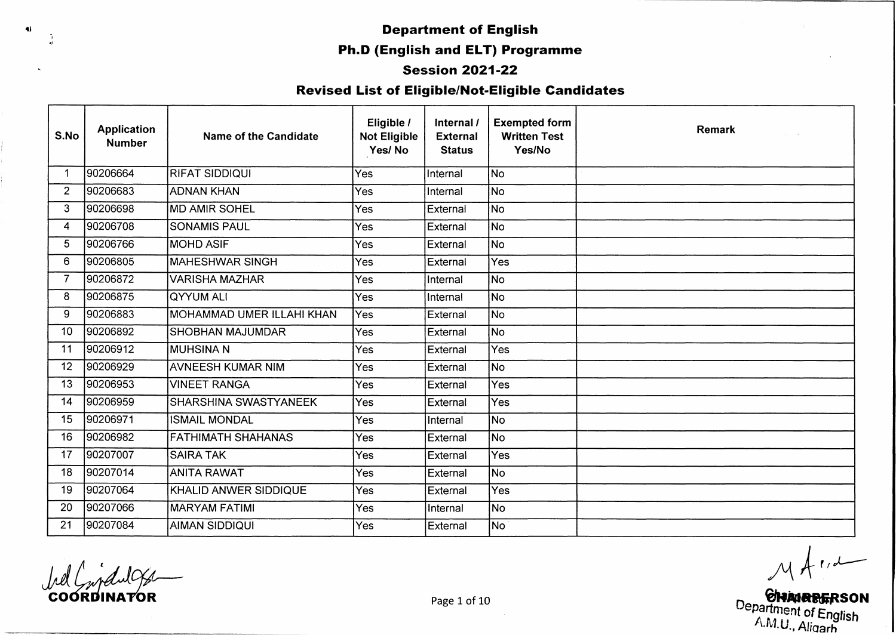#### **Session 2021-22**

## **Revised List of Eligible/Not-Eligible Candidates**

| S.No            | <b>Application</b><br><b>Number</b> | Name of the Candidate        | Eligible /<br><b>Not Eligible</b><br>Yes/No | Internal /<br><b>External</b><br><b>Status</b> | <b>Exempted form</b><br><b>Written Test</b><br>Yes/No | <b>Remark</b> |
|-----------------|-------------------------------------|------------------------------|---------------------------------------------|------------------------------------------------|-------------------------------------------------------|---------------|
| -1              | 90206664                            | RIFAT SIDDIQUI               | Yes                                         | Internal                                       | <b>No</b>                                             |               |
| $\overline{2}$  | 90206683                            | <b>ADNAN KHAN</b>            | Yes                                         | Internal                                       | lNo.                                                  |               |
| 3               | 90206698                            | <b>MD AMIR SOHEL</b>         | Yes                                         | External                                       | <b>No</b>                                             |               |
| 4               | 90206708                            | <b>SONAMIS PAUL</b>          | Yes                                         | External                                       | No                                                    |               |
| 5               | 90206766                            | <b>MOHD ASIF</b>             | Yes                                         | External                                       | $\overline{\mathsf{No}}$                              |               |
| 6               | 90206805                            | <b>MAHESHWAR SINGH</b>       | Yes                                         | External                                       | Yes                                                   |               |
| $\overline{7}$  | 90206872                            | VARISHA MAZHAR               | Yes                                         | Internal                                       | No                                                    |               |
| 8               | 90206875                            | lqyyum ali                   | Yes                                         | Internal                                       | No                                                    |               |
| 9               | 90206883                            | MOHAMMAD UMER ILLAHI KHAN    | Yes                                         | External                                       | <b>No</b>                                             |               |
| 10 <sup>°</sup> | 90206892                            | <b>SHOBHAN MAJUMDAR</b>      | Yes                                         | External                                       | No.                                                   |               |
| 11              | 90206912                            | IMUHSINA N                   | Yes                                         | External                                       | Yes                                                   |               |
| 12 <sub>2</sub> | 90206929                            | AVNEESH KUMAR NIM            | Yes                                         | External                                       | No                                                    |               |
| 13              | 90206953                            | <b>VINEET RANGA</b>          | Yes                                         | External                                       | Yes                                                   |               |
| 14              | 90206959                            | <b>SHARSHINA SWASTYANEEK</b> | Yes                                         | External                                       | Yes                                                   |               |
| 15              | 90206971                            | <b>ISMAIL MONDAL</b>         | Yes                                         | Internal                                       | No)                                                   |               |
| 16              | 90206982                            | FATHIMATH SHAHANAS           | Yes                                         | External                                       | No                                                    |               |
| 17              | 90207007                            | <b>SAIRA TAK</b>             | Yes                                         | External                                       | Yes                                                   |               |
| 18              | 90207014                            | ANITA RAWAT                  | Yes                                         | External                                       | No.                                                   |               |
| 19              | 90207064                            | KHALID ANWER SIDDIQUE        | Yes                                         | External                                       | Yes                                                   |               |
| 20              | 90207066                            | <b>MARYAM FATIMI</b>         | Yes                                         | Internal                                       | No                                                    |               |
| 21              | 90207084                            | AIMAN SIDDIQUI               | Yes                                         | External                                       | No                                                    |               |

 $\blacklozenge$ 

COORDINATOR<br> **COORDINATOR** Page 1 of 10<br>
Page 1 of 10<br>
Page 1 of 10<br>
Page 1 of 10<br>
A.M.U., Aligarh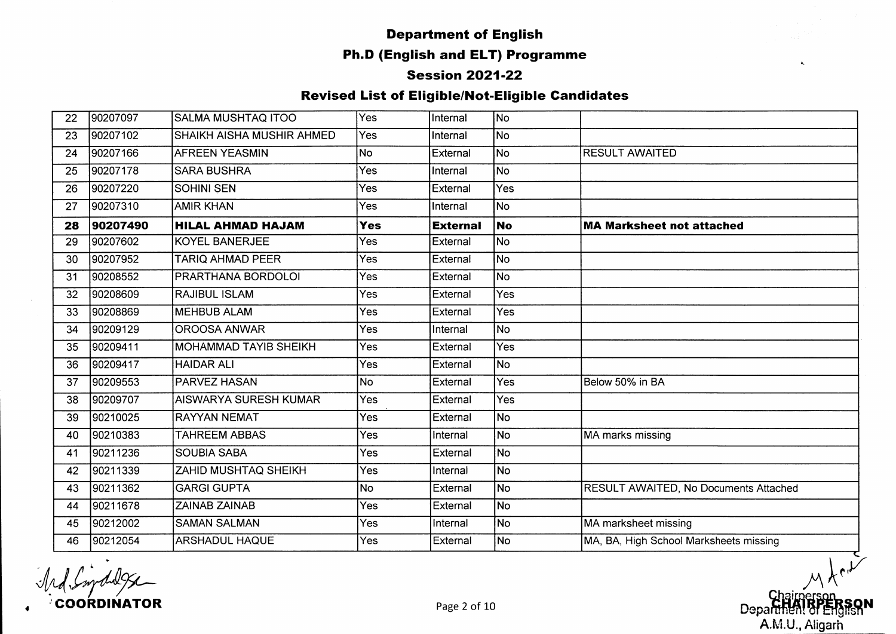#### **Session 2021-22**

#### **Revised List of Eligible/Not-Eligible Candidates**

| 22 | 90207097 | <b>SALMA MUSHTAQ ITOO</b>    | <b>Yes</b> | Internal        | No             |                                        |
|----|----------|------------------------------|------------|-----------------|----------------|----------------------------------------|
| 23 | 90207102 | SHAIKH AISHA MUSHIR AHMED    | Yes.       | Internal        | No.            |                                        |
| 24 | 90207166 | <b>AFREEN YEASMIN</b>        | No         | External        | No.            | <b>RESULT AWAITED</b>                  |
| 25 | 90207178 | <b>SARA BUSHRA</b>           | Yes        | Internal        | No l           |                                        |
| 26 | 90207220 | <b>SOHINI SEN</b>            | Yes        | External        | <b>Yes</b>     |                                        |
| 27 | 90207310 | <b>AMIR KHAN</b>             | Yes        | Internal        | No.            |                                        |
| 28 | 90207490 | <b>HILAL AHMAD HAJAM</b>     | <b>Yes</b> | <b>External</b> | <b>No</b>      | <b>MA Marksheet not attached</b>       |
| 29 | 90207602 | <b>KOYEL BANERJEE</b>        | Yes        | External        | N <sub>o</sub> |                                        |
| 30 | 90207952 | TARIQ AHMAD PEER             | Yes        | External        | No             |                                        |
| 31 | 90208552 | PRARTHANA BORDOLOI           | Yes        | External        | No.            |                                        |
| 32 | 90208609 | <b>RAJIBUL ISLAM</b>         | Yes        | External        | Yes            |                                        |
| 33 | 90208869 | <b>MEHBUB ALAM</b>           | <b>Yes</b> | External        | <b>Yes</b>     |                                        |
| 34 | 90209129 | <b>OROOSA ANWAR</b>          | Yes        | Internal        | No             |                                        |
| 35 | 90209411 | MOHAMMAD TAYIB SHEIKH        | Yes        | External        | Yes            |                                        |
| 36 | 90209417 | <b>HAIDAR ALI</b>            | Yes        | External        | No.            |                                        |
| 37 | 90209553 | <b>PARVEZ HASAN</b>          | <b>No</b>  | External        | Yes            | Below 50% in BA                        |
| 38 | 90209707 | <b>AISWARYA SURESH KUMAR</b> | Yes        | External        | Yes            |                                        |
| 39 | 90210025 | <b>RAYYAN NEMAT</b>          | Yes        | External        | No             |                                        |
| 40 | 90210383 | TAHREEM ABBAS                | Yes        | Internal        | No             | MA marks missing                       |
| 41 | 90211236 | <b>SOUBIA SABA</b>           | Yes        | External        | N <sub>o</sub> |                                        |
| 42 | 90211339 | <b>ZAHID MUSHTAQ SHEIKH</b>  | Yes        | Internal        | No)            |                                        |
| 43 | 90211362 | <b>GARGI GUPTA</b>           | <b>No</b>  | External        | No             | RESULT AWAITED, No Documents Attached  |
| 44 | 90211678 | <b>ZAINAB ZAINAB</b>         | Yes        | External        | N <sub>o</sub> |                                        |
| 45 | 90212002 | <b>SAMAN SALMAN</b>          | Yes        | Internal        | No             | MA marksheet missing                   |
| 46 | 90212054 | <b>ARSHADUL HAQUE</b>        | Yes        | External        | No             | MA, BA, High School Marksheets missing |

**COORDINATOR Page 2 of 10** 

 $\hat{\mathbf{a}}_i$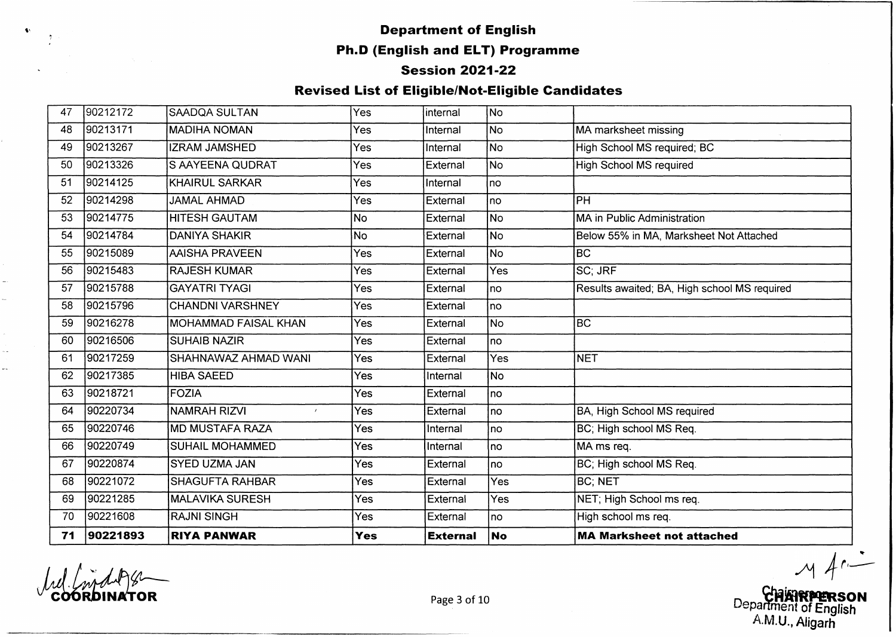# **• Supervisor of English**<br> **Containing the Containing Contains and Contains and Department of English Ph.D (English and ELT) Programme**

#### **Session 2021-22**

#### **Revised List of Eligible/Not-Eligible Candidates**

| 47 | 90212172 | <b>SAADQA SULTAN</b>        | Yes        | internal        | No        |                                              |
|----|----------|-----------------------------|------------|-----------------|-----------|----------------------------------------------|
| 48 | 90213171 | <b>MADIHA NOMAN</b>         | Yes        | Internal        | lNo.      | MA marksheet missing                         |
| 49 | 90213267 | <b>IZRAM JAMSHED</b>        | Yes        | Internal        | No        | High School MS required; BC                  |
| 50 | 90213326 | S AAYEENA QUDRAT            | Yes        | External        | No        | <b>High School MS required</b>               |
| 51 | 90214125 | İKHAIRUL SARKAR             | Yes        | Internal        | no        |                                              |
| 52 | 90214298 | <b>JAMAL AHMAD</b>          | Yes        | External        | no        | PH                                           |
| 53 | 90214775 | <b>IHITESH GAUTAM</b>       | lNo.       | External        | lNo.      | MA in Public Administration                  |
| 54 | 90214784 | IDANIYA SHAKIR              | No         | External        | INo.      | Below 55% in MA, Marksheet Not Attached      |
| 55 | 90215089 | <b>AAISHA PRAVEEN</b>       | Yes        | External        | No        | BC                                           |
| 56 | 90215483 | <b>RAJESH KUMAR</b>         | Yes        | External        | Yes       | SC; JRF                                      |
| 57 | 90215788 | <b>GAYATRI TYAGI</b>        | Yes        | External        | no        | Results awaited; BA, High school MS required |
| 58 | 90215796 | <b>CHANDNI VARSHNEY</b>     | Yes        | External        | no        |                                              |
| 59 | 90216278 | <b>MOHAMMAD FAISAL KHAN</b> | Yes        | External        | <b>No</b> | <b>BC</b>                                    |
| 60 | 90216506 | <b>SUHAIB NAZIR</b>         | Yes        | External        | lno       |                                              |
| 61 | 90217259 | SHAHNAWAZ AHMAD WANI        | Yes        | External        | Yes       | <b>NET</b>                                   |
| 62 | 90217385 | <b>HIBA SAEED</b>           | Yes        | Internal        | No.       |                                              |
| 63 | 90218721 | <b>FOZIA</b>                | Yes        | External        | Ino       |                                              |
| 64 | 90220734 | NAMRAH RIZVI<br>$\lambda$   | <b>Yes</b> | External        | no        | BA, High School MS required                  |
| 65 | 90220746 | <b>MD MUSTAFA RAZA</b>      | Yes        | Internal        | Ino       | BC; High school MS Req.                      |
| 66 | 90220749 | <b>SUHAIL MOHAMMED</b>      | Yes        | Internal        | Ino       | MA ms req.                                   |
| 67 | 90220874 | <b>SYED UZMA JAN</b>        | Yes        | External        | no        | BC; High school MS Req.                      |
| 68 | 90221072 | <b>SHAGUFTA RAHBAR</b>      | Yes        | External        | Yes       | <b>BC: NET</b>                               |
| 69 | 90221285 | <b>MALAVIKA SURESH</b>      | Yes        | External        | Yes       | NET; High School ms req.                     |
| 70 | 90221608 | <b>RAJNI SINGH</b>          | <b>Yes</b> | External        | no        | High school ms req.                          |
| 71 | 90221893 | <b>RIYA PANWAR</b>          | <b>Yes</b> | <b>External</b> | <b>No</b> | <b>MA Marksheet not attached</b>             |

coo

u.

Department of English A.M.U., Aligarh

Page 3 of 10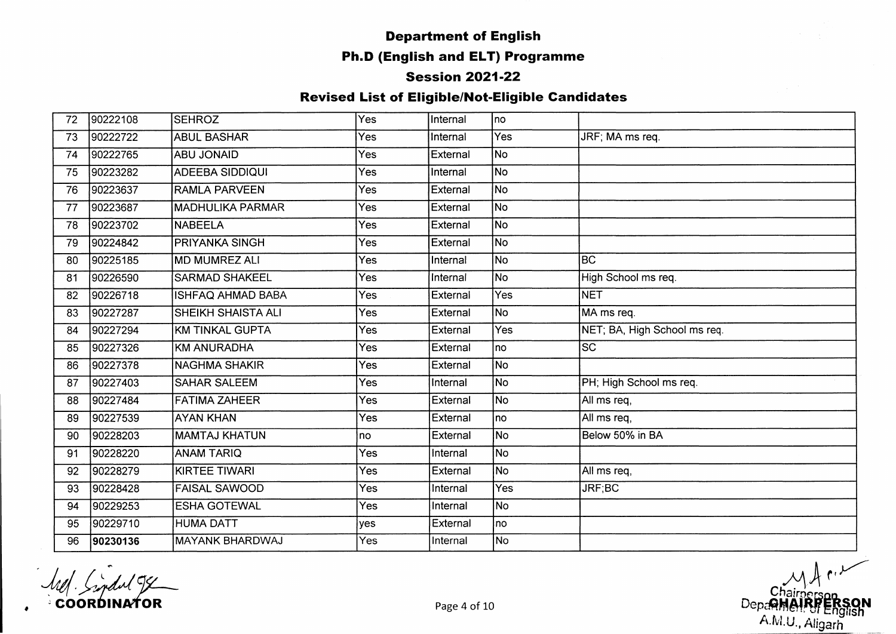#### **Session 2021-22**

| 72 | 90222108 | <b>SEHROZ</b>             | Yes        | Internal | Ino |                              |
|----|----------|---------------------------|------------|----------|-----|------------------------------|
| 73 | 90222722 | <b>ABUL BASHAR</b>        | Yes        | Internal | Yes | JRF; MA ms req.              |
| 74 | 90222765 | <b>ABU JONAID</b>         | Yes        | External | No  |                              |
| 75 | 90223282 | ADEEBA SIDDIQUI           | Yes        | Internal | No  |                              |
| 76 | 90223637 | <b>RAMLA PARVEEN</b>      | Yes        | External | No  |                              |
| 77 | 90223687 | <b>MADHULIKA PARMAR</b>   | <b>Yes</b> | External | No  |                              |
| 78 | 90223702 | NABEELA                   | <b>Yes</b> | External | No) |                              |
| 79 | 90224842 | PRIYANKA SINGH            | Yes        | External | No  |                              |
| 80 | 90225185 | MD MUMREZ ALI             | Yes        | Internal | No. | lвc                          |
| 81 | 90226590 | <b>SARMAD SHAKEEL</b>     | Yes        | Internal | No. | High School ms req.          |
| 82 | 90226718 | ISHFAQ AHMAD BABA         | Yes        | External | Yes | <b>NET</b>                   |
| 83 | 90227287 | <b>SHEIKH SHAISTA ALI</b> | Yes        | External | No. | MA ms req.                   |
| 84 | 90227294 | <b>KM TINKAL GUPTA</b>    | Yes        | External | Yes | NET; BA, High School ms req. |
| 85 | 90227326 | <b>KM ANURADHA</b>        | Yes        | External | Ino | lsc <sup>.</sup>             |
| 86 | 90227378 | <b>NAGHMA SHAKIR</b>      | Yes        | External | No  |                              |
| 87 | 90227403 | <b>SAHAR SALEEM</b>       | Yes        | Internal | No. | PH; High School ms req.      |
| 88 | 90227484 | FATIMA ZAHEER             | Yes        | External | No  | All ms req,                  |
| 89 | 90227539 | <b>AYAN KHAN</b>          | Yes        | External | Ino | All ms req,                  |
| 90 | 90228203 | <b>MAMTAJ KHATUN</b>      | no         | External | No  | Below 50% in BA              |
| 91 | 90228220 | <b>ANAM TARIQ</b>         | Yes        | Internal | No  |                              |
| 92 | 90228279 | KIRTEE TIWARI             | Yes        | External | No  | All ms req,                  |
| 93 | 90228428 | <b>FAISAL SAWOOD</b>      | Yes        | Internal | Yes | JRF;BC                       |
| 94 | 90229253 | <b>ESHA GOTEWAL</b>       | Yes        | Internal | No. |                              |
| 95 | 90229710 | HUMA DATT                 | yes        | External | no  |                              |
| 96 | 90230136 | MAYANK BHARDWAJ           | Yes        | Internal | No  |                              |

**COORDINATOR** 

*<sup>y</sup> j \ <sup>k</sup>* enairperson<br>Page 4 of 10 **Notation and the Contract of Contract of the Contract of Contract of No. 10**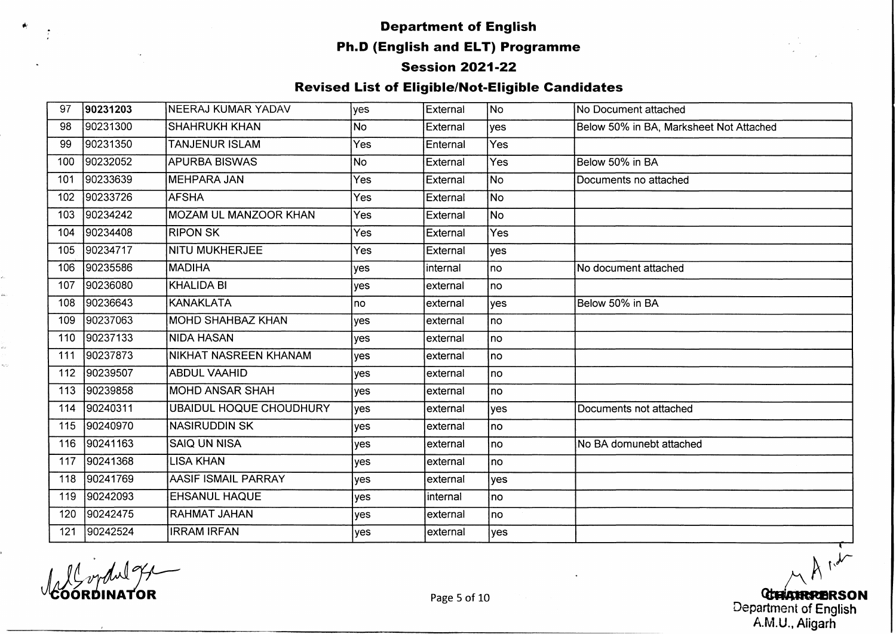#### **Session 2021-22**

#### **Revised List of Eligible/Not-Eligible Candidates**

| 97  | 90231203 | NEERAJ KUMAR YADAV             | lyes       | External  | No         | No Document attached                    |
|-----|----------|--------------------------------|------------|-----------|------------|-----------------------------------------|
| 98  | 90231300 | <b>SHAHRUKH KHAN</b>           | No         | External  | <b>yes</b> | Below 50% in BA, Marksheet Not Attached |
| 99  | 90231350 | <b>TANJENUR ISLAM</b>          | <b>Yes</b> | Enternal  | Yes        |                                         |
| 100 | 90232052 | <b>APURBA BISWAS</b>           | No         | External  | Yes        | Below 50% in BA                         |
| 101 | 90233639 | <b>MEHPARA JAN</b>             | <b>Yes</b> | External  | lNo.       | Documents no attached                   |
| 102 | 90233726 | <b>AFSHA</b>                   | Yes        | External  | No         |                                         |
| 103 | 90234242 | MOZAM UL MANZOOR KHAN          | <b>Yes</b> | External  | No         |                                         |
| 104 | 90234408 | <b>RIPON SK</b>                | Yes        | External  | Yes        |                                         |
| 105 | 90234717 | <b>NITU MUKHERJEE</b>          | <b>Yes</b> | External  | <b>yes</b> |                                         |
| 106 | 90235586 | <b>MADIHA</b>                  | yes        | linternal | no         | No document attached                    |
| 107 | 90236080 | KHALIDA BI                     | yes        | external  | no         |                                         |
| 108 | 90236643 | IKANAKLATA                     | no         | lexternal | <b>yes</b> | Below 50% in BA                         |
| 109 | 90237063 | MOHD SHAHBAZ KHAN              | yes        | lexternal | no         |                                         |
| 110 | 90237133 | INIDA HASAN                    | yes        | lexternal | no         |                                         |
| 111 | 90237873 | NIKHAT NASREEN KHANAM          | yes        | lexternal | Ino        |                                         |
| 112 | 90239507 | <b>ABDUL VAAHID</b>            | yes        | external  | Ino        |                                         |
| 113 | 90239858 | <b>MOHD ANSAR SHAH</b>         | yes        | external  | no         |                                         |
| 114 | 90240311 | <b>UBAIDUL HOQUE CHOUDHURY</b> | yes        | external  | yes        | Documents not attached                  |
| 115 | 90240970 | <b>NASIRUDDIN SK</b>           | yes        | external  | no         |                                         |
| 116 | 90241163 | <b>SAIQ UN NISA</b>            | yes        | external  | no         | No BA domunebt attached                 |
| 117 | 90241368 | <b>LISA KHAN</b>               | yes        | external  | no         |                                         |
| 118 | 90241769 | <b>AASIF ISMAIL PARRAY</b>     | <b>ves</b> | external  | lves       |                                         |
| 119 | 90242093 | <b>EHSANUL HAQUE</b>           | <b>ves</b> | internal  | <b>no</b>  |                                         |
| 120 | 90242475 | <b>RAHMAT JAHAN</b>            | yes        | external  | Ino        |                                         |
| 121 | 90242524 | <b>IRRAM IRFAN</b>             | yes        | external  | yes        |                                         |

TOR

**/■v LETARREDRSON** Department of English A.M.U., Aiigarh

 $\dot{v}_1$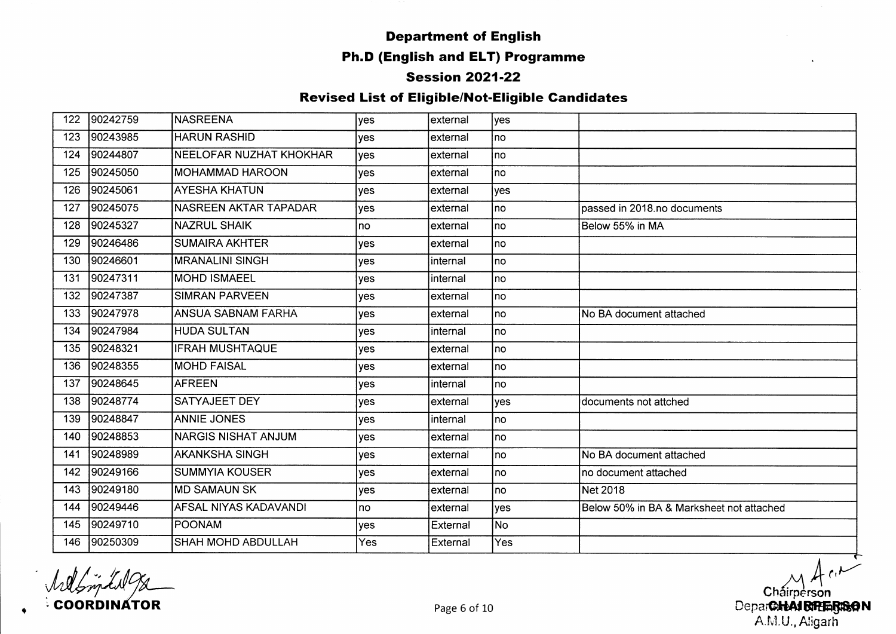## **Department of English**

#### **Ph.D (English and ELT) Programme**

#### **Session 2021-22**

| 122 | 90242759 | <b>NASREENA</b>              | <b>ves</b> | lexternal | yes        |                                          |
|-----|----------|------------------------------|------------|-----------|------------|------------------------------------------|
| 123 | 90243985 | <b>HARUN RASHID</b>          | <b>ves</b> | lexternal | Ino        |                                          |
| 124 | 90244807 | NEELOFAR NUZHAT KHOKHAR      | <b>ves</b> | lexternal | Ino        |                                          |
| 125 | 90245050 | <b>MOHAMMAD HAROON</b>       | <b>ves</b> | lexternal | Ino        |                                          |
| 126 | 90245061 | <b>AYESHA KHATUN</b>         | yes        | lexternal | yes        |                                          |
| 127 | 90245075 | NASREEN AKTAR TAPADAR        | <b>ves</b> | lexternal | Ino        | passed in 2018.no documents              |
| 128 | 90245327 | <b>NAZRUL SHAIK</b>          | no         | Iexternal | Ino        | Below 55% in MA                          |
| 129 | 90246486 | <b>SUMAIRA AKHTER</b>        | yes        | lexternal | Ino        |                                          |
| 130 | 90246601 | <b>MRANALINI SINGH</b>       | yes        | Iinternal | Ino        |                                          |
| 131 | 90247311 | <b>MOHD ISMAEEL</b>          | yes        | linternal | no.        |                                          |
| 132 | 90247387 | <b>SIMRAN PARVEEN</b>        | yes        | lexternal | no.        |                                          |
| 133 | 90247978 | <b>ANSUA SABNAM FARHA</b>    | yes        | lexternal | <b>no</b>  | No BA document attached                  |
| 134 | 90247984 | <b>HUDA SULTAN</b>           | yes        | internal  | lno.       |                                          |
| 135 | 90248321 | <b>IFRAH MUSHTAQUE</b>       | yes        | lexternal | lno.       |                                          |
| 136 | 90248355 | <b>MOHD FAISAL</b>           | yes        | lexternal | no l       |                                          |
| 137 | 90248645 | <b>AFREEN</b>                | yes        | internal  | no         |                                          |
| 138 | 90248774 | <b>SATYAJEET DEY</b>         | yes        | external  | <b>yes</b> | documents not attched                    |
| 139 | 90248847 | <b>ANNIE JONES</b>           | yes        | linternal | no         |                                          |
| 140 | 90248853 | NARGIS NISHAT ANJUM          | yes        | external  | no.        |                                          |
| 141 | 90248989 | <b>AKANKSHA SINGH</b>        | yes        | external  | no.        | No BA document attached                  |
| 142 | 90249166 | SUMMYIA KOUSER               | yes        | external  | no         | no document attached                     |
| 143 | 90249180 | <b>IMD SAMAUN SK</b>         | yes        | external  | no         | Net 2018                                 |
| 144 | 90249446 | <b>AFSAL NIYAS KADAVANDI</b> | no         | external  | yes        | Below 50% in BA & Marksheet not attached |
| 145 | 90249710 | POONAM                       | yes        | External  | No.        |                                          |
| 146 | 90250309 | <b>SHAH MOHD ABDULLAH</b>    | Yes        | External  | <b>Yes</b> |                                          |

Welfindel **COORDINATOR** 

 $-1, 1$ **Chairperson** Page 6 of 10 **Page 6 of 10 Department of the SN A IB in the SN A IB illustrated by Department of Department of N** AMU., Aligarh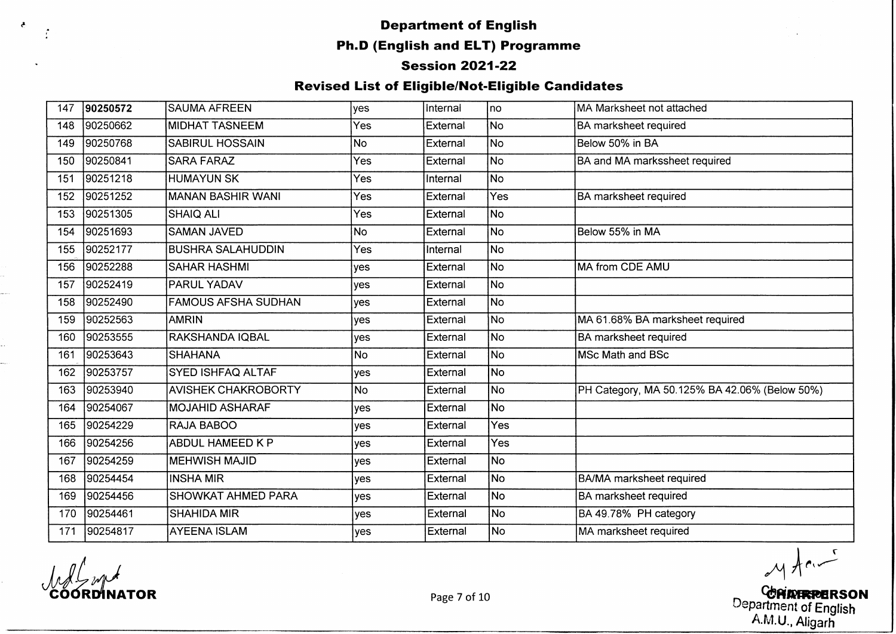#### **Department of English**

#### **Ph.D (English and ELT) Programme**

#### **Session 2021-22**

#### **Revised List of Eligible/Not-Eligible Candidates**

| 147 | 90250572 | <b>SAUMA AFREEN</b>        | yes        | Internal | no             | MA Marksheet not attached                     |
|-----|----------|----------------------------|------------|----------|----------------|-----------------------------------------------|
| 148 | 90250662 | <b>MIDHAT TASNEEM</b>      | Yes        | External | <b>No</b>      | BA marksheet required                         |
| 149 | 90250768 | <b>SABIRUL HOSSAIN</b>     | <b>No</b>  | External | No             | Below 50% in BA                               |
| 150 | 90250841 | <b>SARA FARAZ</b>          | Yes        | External | No.            | BA and MA markssheet required                 |
| 151 | 90251218 | <b>HUMAYUN SK</b>          | Yes        | Internal | No.            |                                               |
| 152 | 90251252 | MANAN BASHIR WANI          | Yes        | External | Yes            | <b>BA</b> marksheet required                  |
| 153 | 90251305 | <b>SHAIQ ALI</b>           | Yes        | External | No             |                                               |
| 154 | 90251693 | <b>SAMAN JAVED</b>         | <b>No</b>  | External | No.            | Below 55% in MA                               |
| 155 | 90252177 | <b>BUSHRA SALAHUDDIN</b>   | Yes        | Internal | N <sub>o</sub> |                                               |
| 156 | 90252288 | <b>SAHAR HASHMI</b>        | yes        | External | No             | MA from CDE AMU                               |
| 157 | 90252419 | <b>PARUL YADAV</b>         | yes        | External | No             |                                               |
| 158 | 90252490 | FAMOUS AFSHA SUDHAN        | yes        | External | No             |                                               |
| 159 | 90252563 | AMRIN                      | yes        | External | No             | MA 61.68% BA marksheet required               |
| 160 | 90253555 | RAKSHANDA IQBAL            | ves        | External | No             | <b>BA</b> marksheet required                  |
| 161 | 90253643 | <b>SHAHANA</b>             | <b>No</b>  | External | No.            | <b>MSc Math and BSc</b>                       |
| 162 | 90253757 | <b>SYED ISHFAQ ALTAF</b>   | yes        | External | No.            |                                               |
| 163 | 90253940 | <b>AVISHEK CHAKROBORTY</b> | <b>No</b>  | External | No.            | PH Category, MA 50.125% BA 42.06% (Below 50%) |
| 164 | 90254067 | <b>MOJAHID ASHARAF</b>     | yes        | External | No             |                                               |
| 165 | 90254229 | <b>RAJA BABOO</b>          | <b>yes</b> | External | Yes            |                                               |
| 166 | 90254256 | <b>ABDUL HAMEED K P</b>    | yes        | External | <b>Yes</b>     |                                               |
| 167 | 90254259 | <b>MEHWISH MAJID</b>       | yes        | External | No.            |                                               |
| 168 | 90254454 | INSHA MIR                  | yes        | External | No             | BA/MA marksheet required                      |
| 169 | 90254456 | <b>SHOWKAT AHMED PARA</b>  | yes        | External | No.            | <b>BA marksheet required</b>                  |
| 170 | 90254461 | <b>SHAHIDA MIR</b>         | yes        | External | <b>No</b>      | BA 49.78% PH category                         |
| 171 | 90254817 | <b>AYEENA ISLAM</b>        | yes        | External | lNo.           | MA marksheet required                         |

 $\epsilon$ 

 $M$  from

**NATOR Page 7 of 10 Page 7 of 10 CPIXFRPERSON**  $\omega$ epartment of English A.M.U., Aligarh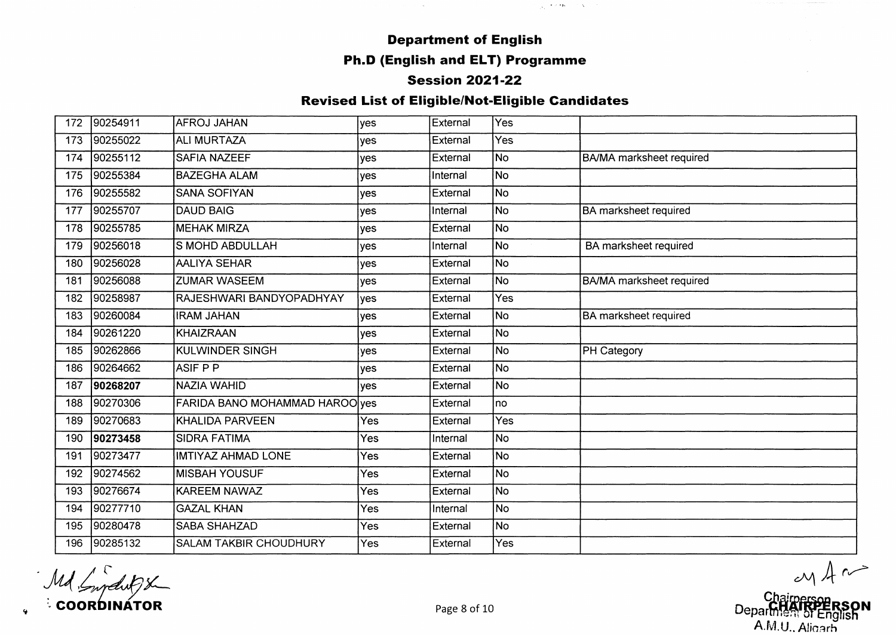$\sim 10^{-11}$ 

 $\frac{1}{\sqrt{2}}\left( \frac{1}{2}+\lambda\left( \mathbf{r}\mathbf{p}\right) \right) =\lambda\left( \sqrt{2}-\lambda\right)$ 

#### **Session 2021-22**

| 172 | 90254911 | <b>AFROJ JAHAN</b>                    | yes        | External | Yes                      |                                 |
|-----|----------|---------------------------------------|------------|----------|--------------------------|---------------------------------|
| 173 | 90255022 | <b>ALI MURTAZA</b>                    | yes        | External | Yes                      |                                 |
| 174 | 90255112 | <b>SAFIA NAZEEF</b>                   | yes        | External | No                       | <b>BA/MA</b> marksheet required |
| 175 | 90255384 | <b>BAZEGHA ALAM</b>                   | yes        | Internal | No)                      |                                 |
| 176 | 90255582 | <b>SANA SOFIYAN</b>                   | yes        | External | No                       |                                 |
| 177 | 90255707 | <b>DAUD BAIG</b>                      | yes        | Internal | No                       | <b>BA</b> marksheet required    |
| 178 | 90255785 | <b>MEHAK MIRZA</b>                    | yes        | External | No                       |                                 |
| 179 | 90256018 | <b>S MOHD ABDULLAH</b>                | yes        | Internal | No                       | BA marksheet required           |
| 180 | 90256028 | <b>AALIYA SEHAR</b>                   | ves        | External | No                       |                                 |
| 181 | 90256088 | <b>ZUMAR WASEEM</b>                   | yes        | External | No.                      | <b>BA/MA</b> marksheet required |
| 182 | 90258987 | RAJESHWARI BANDYOPADHYAY              | yes        | External | Yes                      |                                 |
| 183 | 90260084 | <b>IRAM JAHAN</b>                     | yes        | External | No.                      | <b>BA</b> marksheet required    |
| 184 | 90261220 | <b>KHAIZRAAN</b>                      | <b>ves</b> | External | No.                      |                                 |
| 185 | 90262866 | <b>KULWINDER SINGH</b>                | yes        | External | No                       | <b>PH Category</b>              |
| 186 | 90264662 | <b>ASIF PP</b>                        | yes        | External | lNo                      |                                 |
| 187 | 90268207 | <b>NAZIA WAHID</b>                    | <b>ves</b> | External | No                       |                                 |
| 188 | 90270306 | <b>FARIDA BANO MOHAMMAD HAROO yes</b> |            | External | no                       |                                 |
| 189 | 90270683 | KHALIDA PARVEEN                       | <b>Yes</b> | External | Yes                      |                                 |
| 190 | 90273458 | <b>SIDRA FATIMA</b>                   | <b>Yes</b> | Internal | No                       |                                 |
| 191 | 90273477 | <b>IMTIYAZ AHMAD LONE</b>             | Yes        | External | $\overline{\mathsf{No}}$ |                                 |
| 192 | 90274562 | <b>MISBAH YOUSUF</b>                  | <b>Yes</b> | External | No                       |                                 |
| 193 | 90276674 | <b>KAREEM NAWAZ</b>                   | <b>Yes</b> | External | <b>No</b>                |                                 |
| 194 | 90277710 | <b>GAZAL KHAN</b>                     | Yes        | Internal | No                       |                                 |
| 195 | 90280478 | <b>SABA SHAHZAD</b>                   | <b>Yes</b> | External | No)                      |                                 |
| 196 | 90285132 | <b>SALAM TAKBIR CHOUDHURY</b>         | Yes        | External | Yes                      |                                 |

C O O R D IN A T O R Page 8 of 10 0epa^ | g ^ nR S p N

A.M.U., Aligarh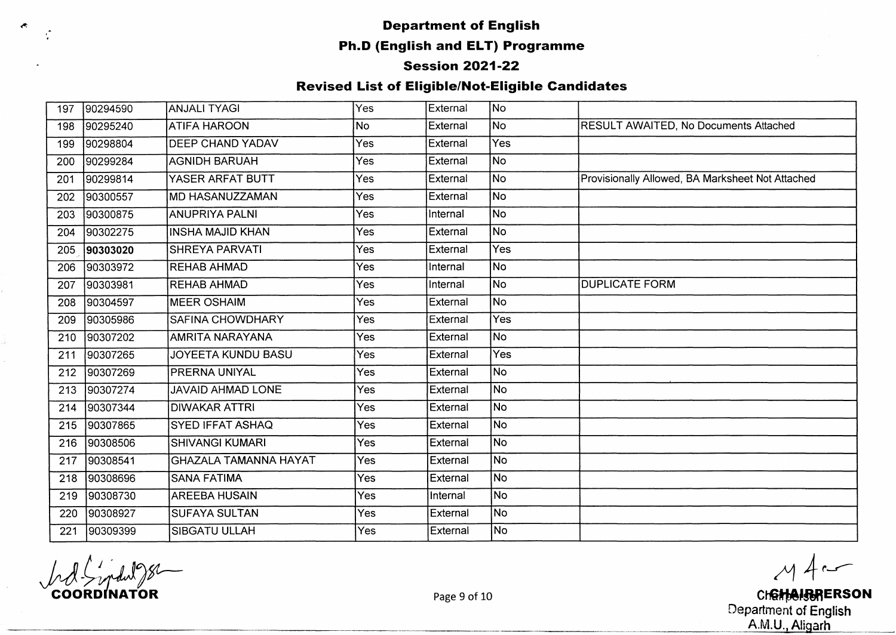#### **^ Department of English**

#### **Ph.D (English and ELT) Programme**

#### **Session 2021-22**

#### **Revised List of Eligible/Not-Eligible Candidates**

| 197 | 90294590 | ANJALI TYAGI                 | Yes        | External | No)       |                                                  |
|-----|----------|------------------------------|------------|----------|-----------|--------------------------------------------------|
| 198 | 90295240 | <b>ATIFA HAROON</b>          | <b>No</b>  | External | No        | RESULT AWAITED, No Documents Attached            |
| 199 | 90298804 | <b>DEEP CHAND YADAV</b>      | Yes        | External | Yes       |                                                  |
| 200 | 90299284 | <b>AGNIDH BARUAH</b>         | Yes        | External | No.       |                                                  |
| 201 | 90299814 | YASER ARFAT BUTT             | Yes        | External | No.       | Provisionally Allowed, BA Marksheet Not Attached |
| 202 | 90300557 | MD HASANUZZAMAN              | Yes        | External | No        |                                                  |
| 203 | 90300875 | <b>ANUPRIYA PALNI</b>        | Yes        | Internal | No)       |                                                  |
| 204 | 90302275 | <b>INSHA MAJID KHAN</b>      | Yes        | External | lNo.      |                                                  |
| 205 | 90303020 | <b>SHREYA PARVATI</b>        | Yes        | External | Yes       |                                                  |
| 206 | 90303972 | <b>REHAB AHMAD</b>           | Yes        | Internal | No        |                                                  |
| 207 | 90303981 | <b>REHAB AHMAD</b>           | Yes        | Internal | No)       | <b>DUPLICATE FORM</b>                            |
| 208 | 90304597 | <b>MEER OSHAIM</b>           | Yes        | External | No l      |                                                  |
| 209 | 90305986 | <b>SAFINA CHOWDHARY</b>      | Yes        | External | Yes       |                                                  |
| 210 | 90307202 | AMRITA NARAYANA              | Yes.       | External | No        |                                                  |
| 211 | 90307265 | JOYEETA KUNDU BASU           | Yes        | External | Yes       |                                                  |
| 212 | 90307269 | PRERNA UNIYAL                | <b>Yes</b> | External | No        |                                                  |
| 213 | 90307274 | <b>JAVAID AHMAD LONE</b>     | Yes        | External | No.       |                                                  |
| 214 | 90307344 | <b>DIWAKAR ATTRI</b>         | Yes        | External | <b>No</b> |                                                  |
| 215 | 90307865 | <b>SYED IFFAT ASHAQ</b>      | Yes        | External | No        |                                                  |
| 216 | 90308506 | <b>SHIVANGI KUMARI</b>       | Yes        | External | No        |                                                  |
| 217 | 90308541 | <b>GHAZALA TAMANNA HAYAT</b> | Yes        | External | No        |                                                  |
| 218 | 90308696 | <b>SANA FATIMA</b>           | <b>Yes</b> | External | No        |                                                  |
| 219 | 90308730 | <b>AREEBA HUSAIN</b>         | Yes        | Internal | No        |                                                  |
| 220 | 90308927 | <b>SUFAYA SULTAN</b>         | Yes        | External | No        |                                                  |
| 221 | 90309399 | <b>SIBGATU ULLAH</b>         | Yes        | External | No l      |                                                  |

 $M4$ 

**COORDINATOR** Page 9 of 10 **C h6^ |«R ER SO N** Department of English at the contract of the contract of the contract of the contract of the contract of  $\mathsf{A.M.U.}, \mathsf{Aligarh}$